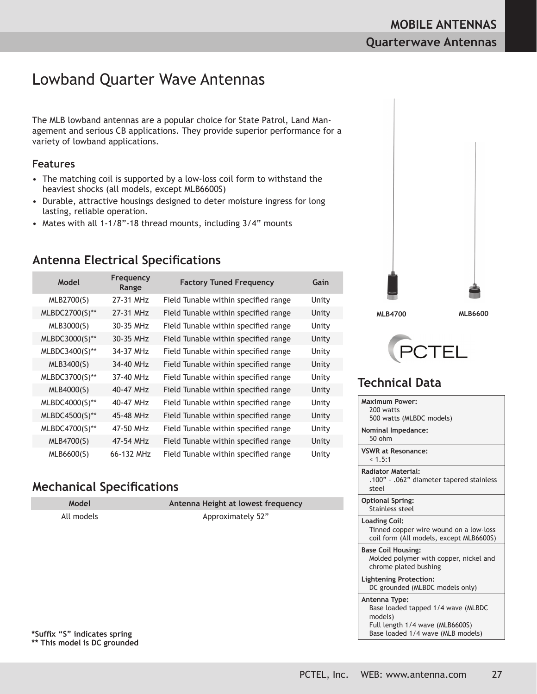# Lowband Quarter Wave Antennas

The MLB lowband antennas are a popular choice for State Patrol, Land Management and serious CB applications. They provide superior performance for a variety of lowband applications.

#### **Features**

- The matching coil is supported by a low-loss coil form to withstand the heaviest shocks (all models, except MLB6600S)
- Durable, attractive housings designed to deter moisture ingress for long lasting, reliable operation.
- Mates with all 1-1/8"-18 thread mounts, including 3/4" mounts

### **Antenna Electrical Specifications**

| Model          | Frequency<br>Range      | <b>Factory Tuned Frequency</b>       | Gain  |
|----------------|-------------------------|--------------------------------------|-------|
| MLB2700(S)     | 27-31 MH <sub>7</sub>   | Field Tunable within specified range | Unity |
| MLBDC2700(S)** | 27-31 MHz               | Field Tunable within specified range | Unity |
| MLB3000(S)     | 30-35 MHz               | Field Tunable within specified range | Unity |
| MLBDC3000(S)** | 30-35 MHz               | Field Tunable within specified range | Unity |
| MLBDC3400(S)** | 34-37 MHz               | Field Tunable within specified range | Unity |
| MLB3400(S)     | 34-40 MHz               | Field Tunable within specified range | Unity |
| MLBDC3700(S)** | 37-40 MHz               | Field Tunable within specified range | Unity |
| MLB4000(S)     | $40-47$ MH <sub>7</sub> | Field Tunable within specified range | Unity |
| MLBDC4000(S)** | 40-47 MHz               | Field Tunable within specified range | Unity |
| MLBDC4500(S)** | 45-48 MHz               | Field Tunable within specified range | Unity |
| MLBDC4700(S)** | 47-50 MHz               | Field Tunable within specified range | Unity |
| MLB4700(S)     | 47-54 MHz               | Field Tunable within specified range | Unity |
| MLB6600(S)     | 66-132 MHz              | Field Tunable within specified range | Unity |

### **Mechanical Specifications**

| Model      | Antenna Height at lowest frequency |
|------------|------------------------------------|
| All models | Approximately 52"                  |
|            |                                    |







| Maximum Power:<br>200 watts<br>500 watts (MLBDC models)                                                                                |
|----------------------------------------------------------------------------------------------------------------------------------------|
| <b>Nominal Impedance:</b><br>$50$ ohm                                                                                                  |
| <b>VSWR at Resonance:</b><br>< 1.5:1                                                                                                   |
| <b>Radiator Material:</b><br>.100" - .062" diameter tapered stainless<br>steel                                                         |
| <b>Optional Spring:</b><br>Stainless steel                                                                                             |
| <b>Loading Coil:</b><br>Tinned copper wire wound on a low-loss<br>coil form (All models, except MLB6600S)                              |
| <b>Base Coil Housing:</b><br>Molded polymer with copper, nickel and<br>chrome plated bushing                                           |
| <b>Lightening Protection:</b><br>DC grounded (MLBDC models only)                                                                       |
| Antenna Type:<br>Base loaded tapped 1/4 wave (MLBDC<br>models)<br>Full length 1/4 wave (MLB6600S)<br>Base loaded 1/4 wave (MLB models) |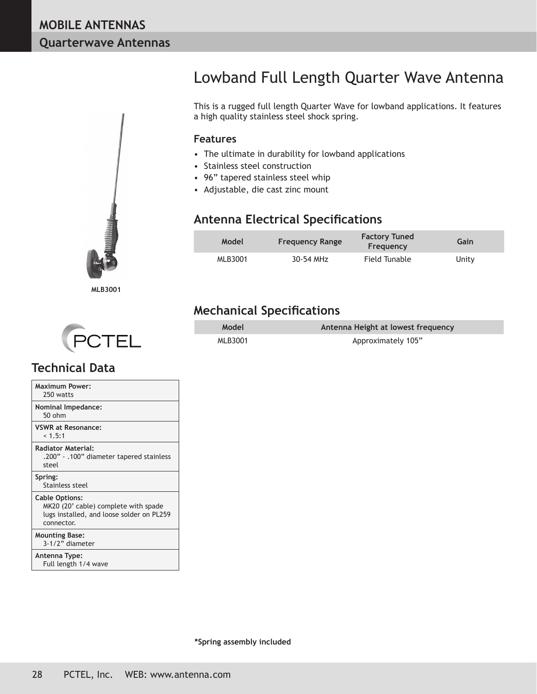

# Lowband Full Length Quarter Wave Antenna

This is a rugged full length Quarter Wave for lowband applications. It features a high quality stainless steel shock spring.

#### **Features**

- The ultimate in durability for lowband applications
- Stainless steel construction
- 96" tapered stainless steel whip
- Adjustable, die cast zinc mount

### **Antenna Electrical Specifications**

| Model   | <b>Frequency Range</b> | <b>Factory Tuned</b><br>Frequency | Gain  |
|---------|------------------------|-----------------------------------|-------|
| MLB3001 | 30-54 MHz              | Field Tunable                     | Unity |

### **Mechanical Specifications**

| Model   | Antenna Height at lowest frequency |
|---------|------------------------------------|
| MLB3001 | Approximately 105"                 |



| <b>Maximum Power:</b><br>250 watts                                                                                       |
|--------------------------------------------------------------------------------------------------------------------------|
| <b>Nominal Impedance:</b><br>$50$ ohm                                                                                    |
| <b>VSWR at Resonance:</b><br>< 1.5:1                                                                                     |
| <b>Radiator Material:</b><br>.200" - .100" diameter tapered stainless<br>steel                                           |
| Spring:<br>Stainless steel                                                                                               |
| <b>Cable Options:</b><br>MK20 (20' cable) complete with spade<br>lugs installed, and loose solder on PL259<br>connector. |
| <b>Mounting Base:</b><br>3-1/2" diameter                                                                                 |
| Antenna Type:<br>Full length 1/4 wave                                                                                    |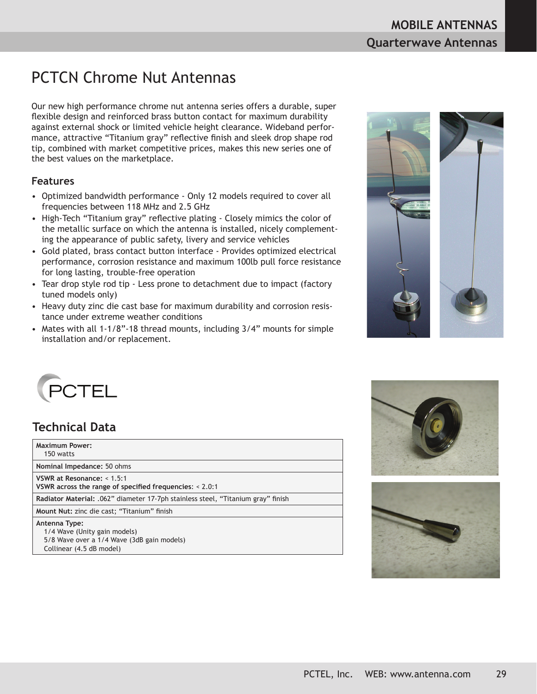# PCTCN Chrome Nut Antennas

Our new high performance chrome nut antenna series offers a durable, super flexible design and reinforced brass button contact for maximum durability against external shock or limited vehicle height clearance. Wideband performance, attractive "Titanium gray" reflective finish and sleek drop shape rod tip, combined with market competitive prices, makes this new series one of the best values on the marketplace.

#### **Features**

- Optimized bandwidth performance Only 12 models required to cover all frequencies between 118 MHz and 2.5 GHz
- High-Tech "Titanium gray" reflective plating Closely mimics the color of the metallic surface on which the antenna is installed, nicely complementing the appearance of public safety, livery and service vehicles
- Gold plated, brass contact button interface Provides optimized electrical performance, corrosion resistance and maximum 100lb pull force resistance for long lasting, trouble-free operation
- Tear drop style rod tip Less prone to detachment due to impact (factory tuned models only)
- Heavy duty zinc die cast base for maximum durability and corrosion resistance under extreme weather conditions
- Mates with all 1-1/8"-18 thread mounts, including 3/4" mounts for simple installation and/or replacement.





| <b>Maximum Power:</b><br>150 watts                                                                                      |  |
|-------------------------------------------------------------------------------------------------------------------------|--|
| Nominal Impedance: 50 ohms                                                                                              |  |
| VSWR at Resonance: $< 1.5:1$<br>VSWR across the range of specified frequencies: $< 2.0:1$                               |  |
| Radiator Material: .062" diameter 17-7ph stainless steel, "Titanium gray" finish                                        |  |
| Mount Nut: zinc die cast; "Titanium" finish                                                                             |  |
| Antenna Type:<br>1/4 Wave (Unity gain models)<br>5/8 Wave over a 1/4 Wave (3dB gain models)<br>Collinear (4.5 dB model) |  |



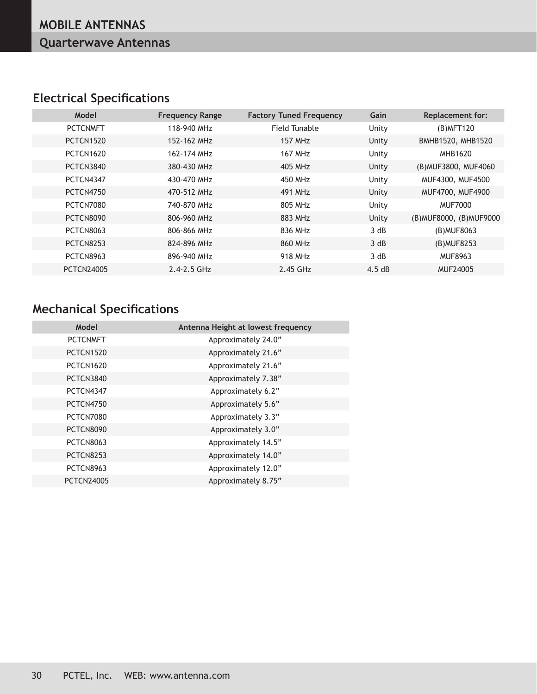## **Electrical Specifications**

| Model             | <b>Frequency Range</b> | <b>Factory Tuned Frequency</b> | Gain  | <b>Replacement for:</b>  |
|-------------------|------------------------|--------------------------------|-------|--------------------------|
| <b>PCTCNMFT</b>   | 118-940 MHz            | Field Tunable                  | Unity | (B) MFT120               |
| PCTCN1520         | 152-162 MHz            | <b>157 MHz</b>                 | Unity | BMHB1520, MHB1520        |
| PCTCN1620         | 162-174 MHz            | <b>167 MHz</b>                 | Unity | MHB1620                  |
| PCTCN3840         | 380-430 MHz            | 405 MHz                        | Unity | (B) MUF3800, MUF4060     |
| PCTCN4347         | 430-470 MHz            | 450 MHz                        | Unity | MUF4300, MUF4500         |
| PCTCN4750         | 470-512 MHz            | 491 MHz                        | Unity | MUF4700, MUF4900         |
| PCTCN7080         | 740-870 MHz            | 805 MHz                        | Unity | MUF7000                  |
| PCTCN8090         | 806-960 MHz            | 883 MHz                        | Unity | (B) MUF8000, (B) MUF9000 |
| PCTCN8063         | 806-866 MHz            | 836 MHz                        | 3 dB  | (B) MUF8063              |
| PCTCN8253         | 824-896 MHz            | 860 MHz                        | 3 dB  | (B) MUF8253              |
| PCTCN8963         | 896-940 MHz            | 918 MHz                        | 3 dB  | MUF8963                  |
| <b>PCTCN24005</b> | $2.4 - 2.5$ GHz        | 2.45 GHz                       | 4.5dB | MUF24005                 |
|                   |                        |                                |       |                          |

## **Mechanical Specifications**

| Model             | Antenna Height at lowest frequency |
|-------------------|------------------------------------|
| <b>PCTCNMFT</b>   | Approximately 24.0"                |
| PCTCN1520         | Approximately 21.6"                |
| <b>PCTCN1620</b>  | Approximately 21.6"                |
| PCTCN3840         | Approximately 7.38"                |
| PCTCN4347         | Approximately 6.2"                 |
| PCTCN4750         | Approximately 5.6"                 |
| PCTCN7080         | Approximately 3.3"                 |
| PCTCN8090         | Approximately 3.0"                 |
| PCTCN8063         | Approximately 14.5"                |
| PCTCN8253         | Approximately 14.0"                |
| PCTCN8963         | Approximately 12.0"                |
| <b>PCTCN24005</b> | Approximately 8.75"                |